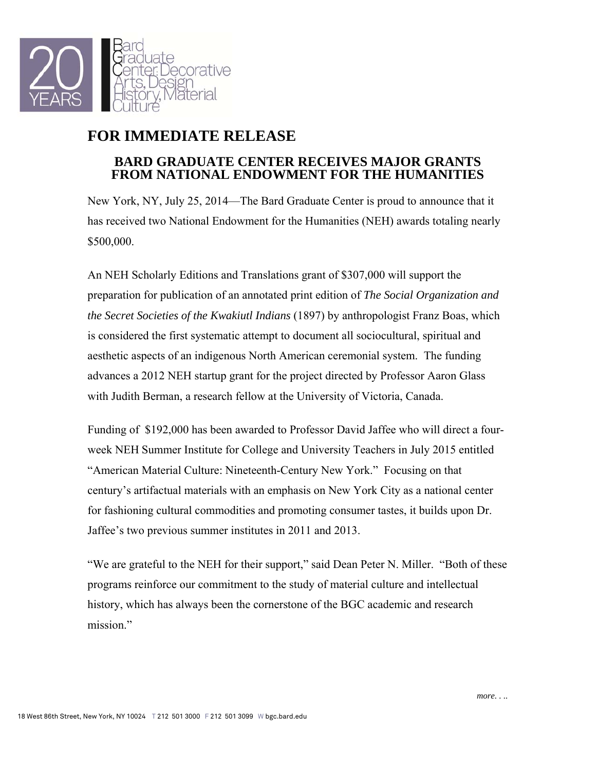

## **FOR IMMEDIATE RELEASE**

## **BARD GRADUATE CENTER RECEIVES MAJOR GRANTS FROM NATIONAL ENDOWMENT FOR THE HUMANITIES**

New York, NY, July 25, 2014—The Bard Graduate Center is proud to announce that it has received two National Endowment for the Humanities (NEH) awards totaling nearly \$500,000.

An NEH Scholarly Editions and Translations grant of \$307,000 will support the preparation for publication of an annotated print edition of *The Social Organization and the Secret Societies of the Kwakiutl Indians* (1897) by anthropologist Franz Boas, which is considered the first systematic attempt to document all sociocultural, spiritual and aesthetic aspects of an indigenous North American ceremonial system. The funding advances a 2012 NEH startup grant for the project directed by Professor Aaron Glass with Judith Berman, a research fellow at the University of Victoria, Canada.

Funding of \$192,000 has been awarded to Professor David Jaffee who will direct a fourweek NEH Summer Institute for College and University Teachers in July 2015 entitled "American Material Culture: Nineteenth-Century New York." Focusing on that century's artifactual materials with an emphasis on New York City as a national center for fashioning cultural commodities and promoting consumer tastes, it builds upon Dr. Jaffee's two previous summer institutes in 2011 and 2013.

"We are grateful to the NEH for their support," said Dean Peter N. Miller. "Both of these programs reinforce our commitment to the study of material culture and intellectual history, which has always been the cornerstone of the BGC academic and research mission"